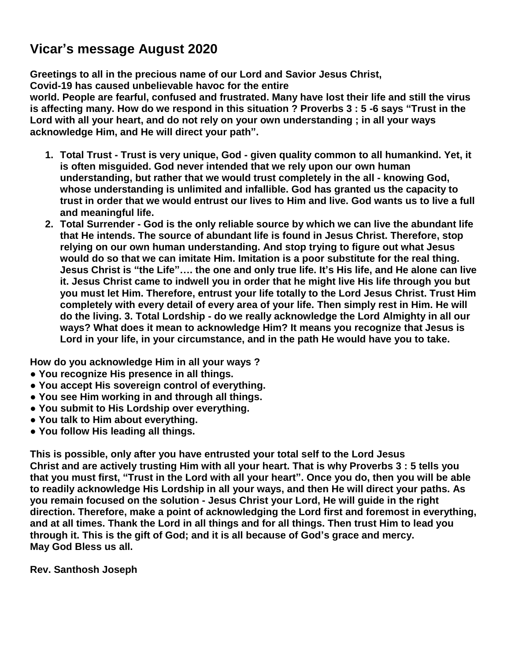# **Vicar's message August 2020**

**Greetings to all in the precious name of our Lord and Savior Jesus Christ, Covid-19 has caused unbelievable havoc for the entire**

**world. People are fearful, confused and frustrated. Many have lost their life and still the virus is affecting many. How do we respond in this situation ? Proverbs 3 : 5 -6 says "Trust in the Lord with all your heart, and do not rely on your own understanding ; in all your ways acknowledge Him, and He will direct your path".** 

- **1. Total Trust - Trust is very unique, God - given quality common to all humankind. Yet, it is often misguided. God never intended that we rely upon our own human understanding, but rather that we would trust completely in the all - knowing God, whose understanding is unlimited and infallible. God has granted us the capacity to trust in order that we would entrust our lives to Him and live. God wants us to live a full and meaningful life.**
- **2. Total Surrender - God is the only reliable source by which we can live the abundant life that He intends. The source of abundant life is found in Jesus Christ. Therefore, stop relying on our own human understanding. And stop trying to figure out what Jesus would do so that we can imitate Him. Imitation is a poor substitute for the real thing. Jesus Christ is "the Life"…. the one and only true life. It's His life, and He alone can live it. Jesus Christ came to indwell you in order that he might live His life through you but you must let Him. Therefore, entrust your life totally to the Lord Jesus Christ. Trust Him completely with every detail of every area of your life. Then simply rest in Him. He will do the living. 3. Total Lordship - do we really acknowledge the Lord Almighty in all our ways? What does it mean to acknowledge Him? It means you recognize that Jesus is Lord in your life, in your circumstance, and in the path He would have you to take.**

**How do you acknowledge Him in all your ways ?**

- **● You recognize His presence in all things.**
- **● You accept His sovereign control of everything.**
- **● You see Him working in and through all things.**
- **● You submit to His Lordship over everything.**
- **● You talk to Him about everything.**
- **● You follow His leading all things.**

**This is possible, only after you have entrusted your total self to the Lord Jesus Christ and are actively trusting Him with all your heart. That is why Proverbs 3 : 5 tells you that you must first, "Trust in the Lord with all your heart". Once you do, then you will be able to readily acknowledge His Lordship in all your ways, and then He will direct your paths. As you remain focused on the solution - Jesus Christ your Lord, He will guide in the right direction. Therefore, make a point of acknowledging the Lord first and foremost in everything, and at all times. Thank the Lord in all things and for all things. Then trust Him to lead you through it. This is the gift of God; and it is all because of God's grace and mercy. May God Bless us all.**

**Rev. Santhosh Joseph**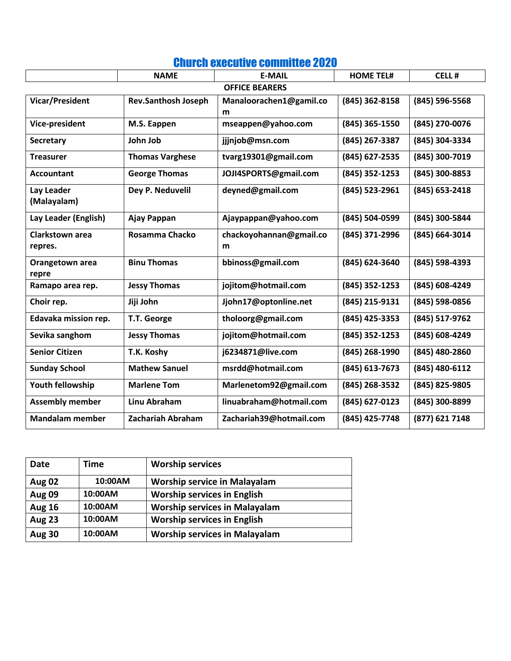|                                   | <b>NAME</b>                | <b>E-MAIL</b>                | <b>HOME TEL#</b> | <b>CELL#</b>     |
|-----------------------------------|----------------------------|------------------------------|------------------|------------------|
| <b>OFFICE BEARERS</b>             |                            |                              |                  |                  |
| Vicar/President                   | <b>Rev.Santhosh Joseph</b> | Manaloorachen1@gamil.co<br>m | (845) 362-8158   | (845) 596-5568   |
| Vice-president                    | M.S. Eappen                | mseappen@yahoo.com           | (845) 365-1550   | (845) 270-0076   |
| <b>Secretary</b>                  | John Job                   | jjjnjob@msn.com              | (845) 267-3387   | (845) 304-3334   |
| <b>Treasurer</b>                  | <b>Thomas Varghese</b>     | tvarg19301@gmail.com         | (845) 627-2535   | (845) 300-7019   |
| <b>Accountant</b>                 | <b>George Thomas</b>       | JOJI4SPORTS@gmail.com        | (845) 352-1253   | (845) 300-8853   |
| Lay Leader<br>(Malayalam)         | Dey P. Neduvelil           | deyned@gmail.com             | (845) 523-2961   | $(845)$ 653-2418 |
| Lay Leader (English)              | Ajay Pappan                | Ajaypappan@yahoo.com         | (845) 504-0599   | (845) 300-5844   |
| <b>Clarkstown area</b><br>repres. | Rosamma Chacko             | chackoyohannan@gmail.co<br>m | (845) 371-2996   | (845) 664-3014   |
| Orangetown area<br>repre          | <b>Binu Thomas</b>         | bbinoss@gmail.com            | (845) 624-3640   | (845) 598-4393   |
| Ramapo area rep.                  | <b>Jessy Thomas</b>        | jojitom@hotmail.com          | (845) 352-1253   | (845) 608-4249   |
| Choir rep.                        | Jiji John                  | Jjohn17@optonline.net        | (845) 215-9131   | (845) 598-0856   |
| Edavaka mission rep.              | T.T. George                | tholoorg@gmail.com           | (845) 425-3353   | (845) 517-9762   |
| Sevika sanghom                    | <b>Jessy Thomas</b>        | jojitom@hotmail.com          | (845) 352-1253   | (845) 608-4249   |
| <b>Senior Citizen</b>             | T.K. Koshy                 | j6234871@live.com            | (845) 268-1990   | (845) 480-2860   |
| <b>Sunday School</b>              | <b>Mathew Sanuel</b>       | msrdd@hotmail.com            | (845) 613-7673   | (845) 480-6112   |
| Youth fellowship                  | <b>Marlene Tom</b>         | Marlenetom92@gmail.com       | (845) 268-3532   | (845) 825-9805   |
| <b>Assembly member</b>            | <b>Linu Abraham</b>        | linuabraham@hotmail.com      | (845) 627-0123   | (845) 300-8899   |
| <b>Mandalam member</b>            | Zachariah Abraham          | Zachariah39@hotmail.com      | (845) 425-7748   | (877) 621 7148   |

# Church executive committee 2020

| Date          | Time    | <b>Worship services</b>              |
|---------------|---------|--------------------------------------|
| <b>Aug 02</b> | 10:00AM | <b>Worship service in Malayalam</b>  |
| <b>Aug 09</b> | 10:00AM | <b>Worship services in English</b>   |
| <b>Aug 16</b> | 10:00AM | <b>Worship services in Malayalam</b> |
| <b>Aug 23</b> | 10:00AM | <b>Worship services in English</b>   |
| <b>Aug 30</b> | 10:00AM | <b>Worship services in Malayalam</b> |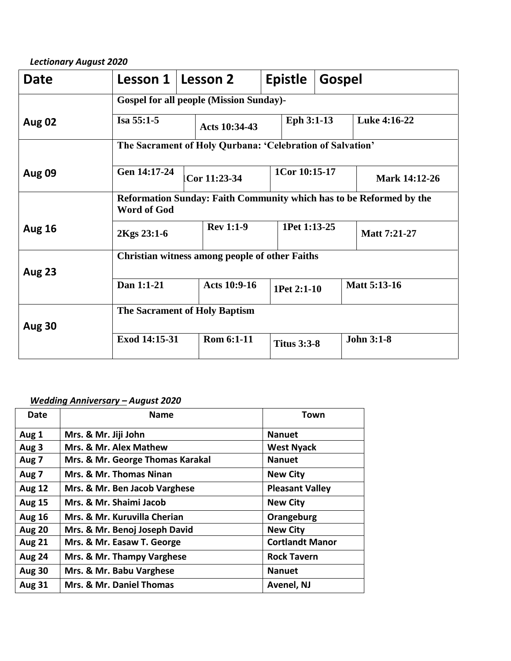#### *Lectionary August 2020*

| <b>Date</b>   | Lesson 1                                                                                  |  | Lesson 2            |  | <b>Epistle</b>     | Gospel |                     |
|---------------|-------------------------------------------------------------------------------------------|--|---------------------|--|--------------------|--------|---------------------|
|               | <b>Gospel for all people (Mission Sunday)-</b>                                            |  |                     |  |                    |        |                     |
| <b>Aug 02</b> | Isa 55:1-5                                                                                |  | Acts 10:34-43       |  | Eph 3:1-13         |        | Luke 4:16-22        |
|               | The Sacrament of Holy Qurbana: 'Celebration of Salvation'                                 |  |                     |  |                    |        |                     |
| <b>Aug 09</b> | Gen 14:17-24                                                                              |  | Cor 11:23-34        |  | 1Cor 10:15-17      |        | Mark 14:12-26       |
|               | Reformation Sunday: Faith Community which has to be Reformed by the<br><b>Word of God</b> |  |                     |  |                    |        |                     |
| <b>Aug 16</b> | 2Kgs 23:1-6                                                                               |  | <b>Rev 1:1-9</b>    |  | 1Pet 1:13-25       |        | Matt 7:21-27        |
| <b>Aug 23</b> | Christian witness among people of other Faiths                                            |  |                     |  |                    |        |                     |
|               | Dan 1:1-21                                                                                |  | <b>Acts 10:9-16</b> |  | 1Pet 2:1-10        |        | <b>Matt 5:13-16</b> |
|               | <b>The Sacrament of Holy Baptism</b>                                                      |  |                     |  |                    |        |                     |
| <b>Aug 30</b> | Exod 14:15-31                                                                             |  | Rom 6:1-11          |  |                    |        | <b>John 3:1-8</b>   |
|               |                                                                                           |  |                     |  | <b>Titus 3:3-8</b> |        |                     |

#### *Wedding Anniversary – August 2020*

| Date             | <b>Name</b>                      | Town                   |
|------------------|----------------------------------|------------------------|
| Aug 1            | Mrs. & Mr. Jiji John             | <b>Nanuet</b>          |
| Aug 3            | Mrs. & Mr. Alex Mathew           | <b>West Nyack</b>      |
| Aug <sub>7</sub> | Mrs. & Mr. George Thomas Karakal | <b>Nanuet</b>          |
| Aug 7            | Mrs. & Mr. Thomas Ninan          | <b>New City</b>        |
| <b>Aug 12</b>    | Mrs. & Mr. Ben Jacob Varghese    | <b>Pleasant Valley</b> |
| <b>Aug 15</b>    | Mrs. & Mr. Shaimi Jacob          | <b>New City</b>        |
| <b>Aug 16</b>    | Mrs. & Mr. Kuruvilla Cherian     | Orangeburg             |
| <b>Aug 20</b>    | Mrs. & Mr. Benoj Joseph David    | <b>New City</b>        |
| <b>Aug 21</b>    | Mrs. & Mr. Easaw T. George       | <b>Cortlandt Manor</b> |
| <b>Aug 24</b>    | Mrs. & Mr. Thampy Varghese       | <b>Rock Tavern</b>     |
| <b>Aug 30</b>    | Mrs. & Mr. Babu Varghese         | <b>Nanuet</b>          |
| <b>Aug 31</b>    | Mrs. & Mr. Daniel Thomas         | Avenel, NJ             |